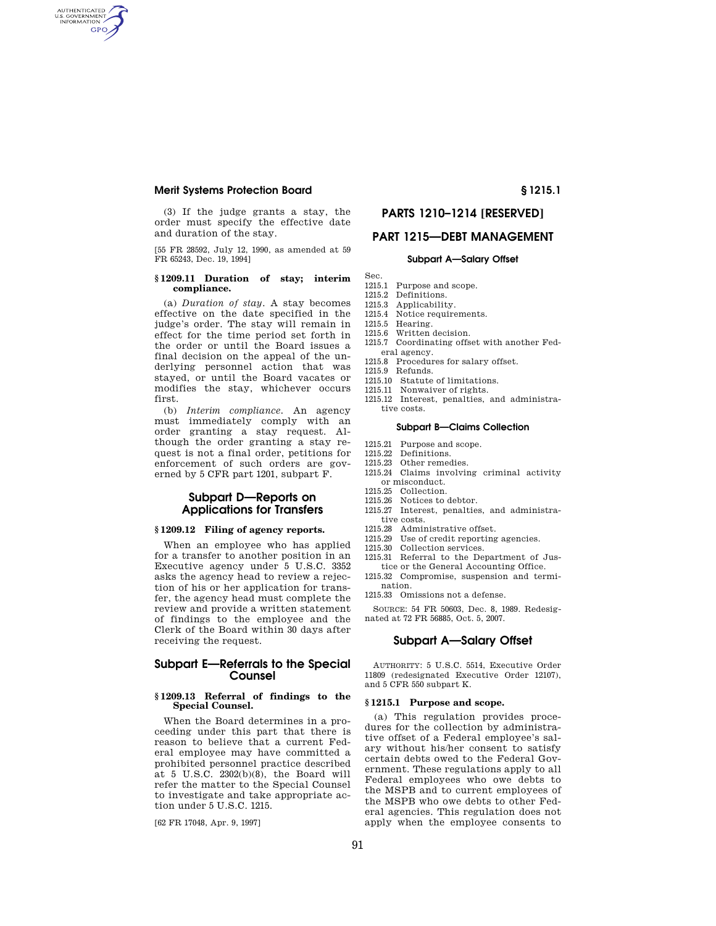## **Merit Systems Protection Board § 1215.1**

AUTHENTICATED<br>U.S. GOVERNMENT<br>INFORMATION **GPO** 

> (3) If the judge grants a stay, the order must specify the effective date and duration of the stay.

> [55 FR 28592, July 12, 1990, as amended at 59 FR 65243, Dec. 19, 1994]

#### **§ 1209.11 Duration of stay; interim compliance.**

(a) *Duration of stay.* A stay becomes effective on the date specified in the judge's order. The stay will remain in effect for the time period set forth in the order or until the Board issues a final decision on the appeal of the underlying personnel action that was stayed, or until the Board vacates or modifies the stay, whichever occurs first.

(b) *Interim compliance.* An agency must immediately comply with an order granting a stay request. Although the order granting a stay request is not a final order, petitions for enforcement of such orders are governed by 5 CFR part 1201, subpart F.

## **Subpart D—Reports on Applications for Transfers**

#### **§ 1209.12 Filing of agency reports.**

When an employee who has applied for a transfer to another position in an Executive agency under 5 U.S.C. 3352 asks the agency head to review a rejection of his or her application for transfer, the agency head must complete the review and provide a written statement of findings to the employee and the Clerk of the Board within 30 days after receiving the request.

## **Subpart E—Referrals to the Special Counsel**

#### **§ 1209.13 Referral of findings to the Special Counsel.**

When the Board determines in a proceeding under this part that there is reason to believe that a current Federal employee may have committed a prohibited personnel practice described at 5 U.S.C. 2302(b)(8), the Board will refer the matter to the Special Counsel to investigate and take appropriate action under 5 U.S.C. 1215.

[62 FR 17048, Apr. 9, 1997]

# **PARTS 1210–1214 [RESERVED]**

## **PART 1215—DEBT MANAGEMENT**

## **Subpart A—Salary Offset**

Sec.

- 1215.1 Purpose and scope.
- 1215.2 Definitions.
- 1215.3 Applicability.
- 1215.4 Notice requirements. 1215.5 Hearing.
- 1215.6 Written decision.
- 1215.7 Coordinating offset with another Fed-
- eral agency.
- 1215.8 Procedures for salary offset. 1215.9 Refunds.
- 1215.10 Statute of limitations.
- 1215.11 Nonwaiver of rights.
- 
- 1215.12 Interest, penalties, and administrative costs.

### **Subpart B—Claims Collection**

- 1215.21 Purpose and scope.
- 
- 1215.22 Definitions.<br>1215.23 Other remed Other remedies.
- 1215.24 Claims involving criminal activity or misconduct.
- 1215.25 Collection.
- 1215.26 Notices to debtor.
- 1215.27 Interest, penalties, and administrative costs.
- 
- 1215.28 Administrative offset.<br>1215.29 IIse of credit reporting Use of credit reporting agencies.
- 1215.30 Collection services.
- 1215.31 Referral to the Department of Justice or the General Accounting Office.
- 1215.32 Compromise, suspension and termination.
- 1215.33 Omissions not a defense.

SOURCE: 54 FR 50603, Dec. 8, 1989. Redesignated at 72 FR 56885, Oct. 5, 2007.

## **Subpart A—Salary Offset**

AUTHORITY: 5 U.S.C. 5514, Executive Order 11809 (redesignated Executive Order 12107), and 5 CFR 550 subpart K.

#### **§ 1215.1 Purpose and scope.**

(a) This regulation provides procedures for the collection by administrative offset of a Federal employee's salary without his/her consent to satisfy certain debts owed to the Federal Government. These regulations apply to all Federal employees who owe debts to the MSPB and to current employees of the MSPB who owe debts to other Federal agencies. This regulation does not apply when the employee consents to